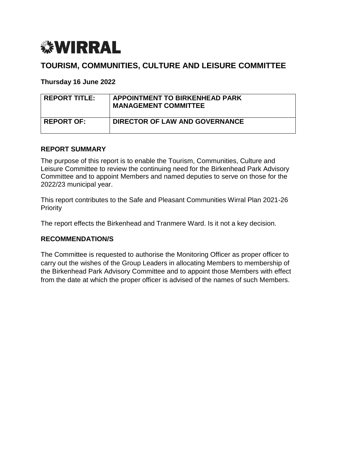

# **TOURISM, COMMUNITIES, CULTURE AND LEISURE COMMITTEE**

**Thursday 16 June 2022**

| <b>REPORT TITLE:</b> | <b>APPOINTMENT TO BIRKENHEAD PARK</b><br><b>MANAGEMENT COMMITTEE</b> |
|----------------------|----------------------------------------------------------------------|
| <b>REPORT OF:</b>    | DIRECTOR OF LAW AND GOVERNANCE                                       |

#### **REPORT SUMMARY**

The purpose of this report is to enable the Tourism, Communities, Culture and Leisure Committee to review the continuing need for the Birkenhead Park Advisory Committee and to appoint Members and named deputies to serve on those for the 2022/23 municipal year.

This report contributes to the Safe and Pleasant Communities Wirral Plan 2021-26 **Priority** 

The report effects the Birkenhead and Tranmere Ward. Is it not a key decision.

#### **RECOMMENDATION/S**

The Committee is requested to authorise the Monitoring Officer as proper officer to carry out the wishes of the Group Leaders in allocating Members to membership of the Birkenhead Park Advisory Committee and to appoint those Members with effect from the date at which the proper officer is advised of the names of such Members.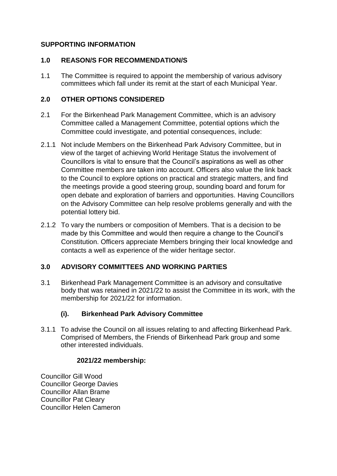## **SUPPORTING INFORMATION**

#### **1.0 REASON/S FOR RECOMMENDATION/S**

1.1 The Committee is required to appoint the membership of various advisory committees which fall under its remit at the start of each Municipal Year.

#### **2.0 OTHER OPTIONS CONSIDERED**

- 2.1 For the Birkenhead Park Management Committee, which is an advisory Committee called a Management Committee, potential options which the Committee could investigate, and potential consequences, include:
- 2.1.1 Not include Members on the Birkenhead Park Advisory Committee, but in view of the target of achieving World Heritage Status the involvement of Councillors is vital to ensure that the Council's aspirations as well as other Committee members are taken into account. Officers also value the link back to the Council to explore options on practical and strategic matters, and find the meetings provide a good steering group, sounding board and forum for open debate and exploration of barriers and opportunities. Having Councillors on the Advisory Committee can help resolve problems generally and with the potential lottery bid.
- 2.1.2 To vary the numbers or composition of Members. That is a decision to be made by this Committee and would then require a change to the Council's Constitution. Officers appreciate Members bringing their local knowledge and contacts a well as experience of the wider heritage sector.

#### **3.0 ADVISORY COMMITTEES AND WORKING PARTIES**

3.1 Birkenhead Park Management Committee is an advisory and consultative body that was retained in 2021/22 to assist the Committee in its work, with the membership for 2021/22 for information.

## **(i). Birkenhead Park Advisory Committee**

3.1.1 To advise the Council on all issues relating to and affecting Birkenhead Park. Comprised of Members, the Friends of Birkenhead Park group and some other interested individuals.

#### **2021/22 membership:**

Councillor Gill Wood Councillor George Davies Councillor Allan Brame Councillor Pat Cleary Councillor Helen Cameron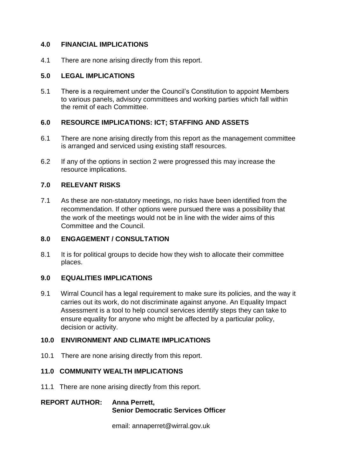## **4.0 FINANCIAL IMPLICATIONS**

4.1 There are none arising directly from this report.

## **5.0 LEGAL IMPLICATIONS**

5.1 There is a requirement under the Council's Constitution to appoint Members to various panels, advisory committees and working parties which fall within the remit of each Committee.

## **6.0 RESOURCE IMPLICATIONS: ICT; STAFFING AND ASSETS**

- 6.1 There are none arising directly from this report as the management committee is arranged and serviced using existing staff resources.
- 6.2 If any of the options in section 2 were progressed this may increase the resource implications.

## **7.0 RELEVANT RISKS**

7.1 As these are non-statutory meetings, no risks have been identified from the recommendation. If other options were pursued there was a possibility that the work of the meetings would not be in line with the wider aims of this Committee and the Council.

## **8.0 ENGAGEMENT / CONSULTATION**

8.1 It is for political groups to decide how they wish to allocate their committee places.

## **9.0 EQUALITIES IMPLICATIONS**

9.1 Wirral Council has a legal requirement to make sure its policies, and the way it carries out its work, do not discriminate against anyone. An Equality Impact Assessment is a tool to help council services identify steps they can take to ensure equality for anyone who might be affected by a particular policy, decision or activity.

## **10.0 ENVIRONMENT AND CLIMATE IMPLICATIONS**

10.1 There are none arising directly from this report.

#### **11.0 COMMUNITY WEALTH IMPLICATIONS**

11.1 There are none arising directly from this report.

## **REPORT AUTHOR: Anna Perrett, Senior Democratic Services Officer**

email: annaperret@wirral.gov.uk